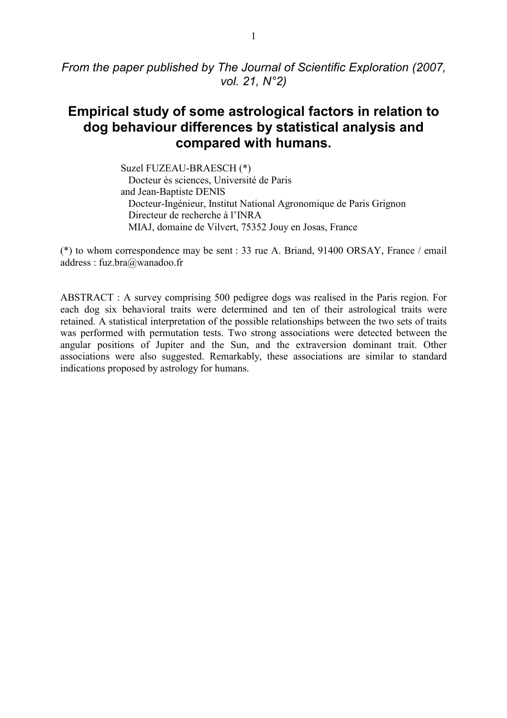# **Empirical study of some astrological factors in relation to dog behaviour differences by statistical analysis and compared with humans.**

Suzel FUZEAU-BRAESCH (\*)

Docteur ès sciences, Université de Paris and Jean-Baptiste DENIS Docteur-Ingénieur, Institut National Agronomique de Paris Grignon Directeur de recherche à l'INRA MIAJ, domaine de Vilvert, 75352 Jouy en Josas, France

(\*) to whom correspondence may be sent : 33 rue A. Briand, 91400 ORSAY, France / email address : fuz.bra@wanadoo.fr

ABSTRACT : A survey comprising 500 pedigree dogs was realised in the Paris region. For each dog six behavioral traits were determined and ten of their astrological traits were retained. A statistical interpretation of the possible relationships between the two sets of traits was performed with permutation tests. Two strong associations were detected between the angular positions of Jupiter and the Sun, and the extraversion dominant trait. Other associations were also suggested. Remarkably, these associations are similar to standard indications proposed by astrology for humans.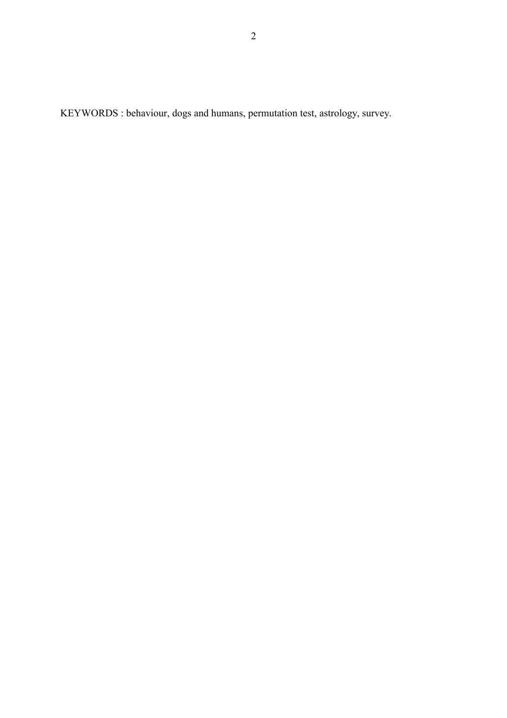KEYWORDS : behaviour, dogs and humans, permutation test, astrology, survey.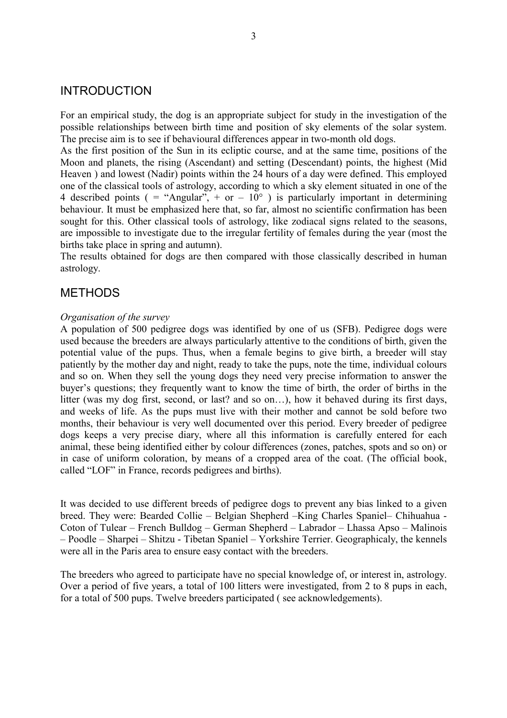## INTRODUCTION

For an empirical study, the dog is an appropriate subject for study in the investigation of the possible relationships between birth time and position of sky elements of the solar system. The precise aim is to see if behavioural differences appear in two-month old dogs.

As the first position of the Sun in its ecliptic course, and at the same time, positions of the Moon and planets, the rising (Ascendant) and setting (Descendant) points, the highest (Mid Heaven ) and lowest (Nadir) points within the 24 hours of a day were defined. This employed one of the classical tools of astrology, according to which a sky element situated in one of the 4 described points ( = "Angular", + or  $-10^{\circ}$  ) is particularly important in determining behaviour. It must be emphasized here that, so far, almost no scientific confirmation has been sought for this. Other classical tools of astrology, like zodiacal signs related to the seasons, are impossible to investigate due to the irregular fertility of females during the year (most the births take place in spring and autumn).

The results obtained for dogs are then compared with those classically described in human astrology.

## METHODS

#### *Organisation of the survey*

A population of 500 pedigree dogs was identified by one of us (SFB). Pedigree dogs were used because the breeders are always particularly attentive to the conditions of birth, given the potential value of the pups. Thus, when a female begins to give birth, a breeder will stay patiently by the mother day and night, ready to take the pups, note the time, individual colours and so on. When they sell the young dogs they need very precise information to answer the buyer's questions; they frequently want to know the time of birth, the order of births in the litter (was my dog first, second, or last? and so on $\dots$ ), how it behaved during its first days, and weeks of life. As the pups must live with their mother and cannot be sold before two months, their behaviour is very well documented over this period. Every breeder of pedigree dogs keeps a very precise diary, where all this information is carefully entered for each animal, these being identified either by colour differences (zones, patches, spots and so on) or in case of uniform coloration, by means of a cropped area of the coat. (The official book, called "LOF" in France, records pedigrees and births).

It was decided to use different breeds of pedigree dogs to prevent any bias linked to a given breed. They were: Bearded Collie – Belgian Shepherd –King Charles Spaniel– Chihuahua -Coton of Tulear – French Bulldog – German Shepherd – Labrador – Lhassa Apso – Malinois – Poodle – Sharpei – Shitzu - Tibetan Spaniel – Yorkshire Terrier. Geographicaly, the kennels were all in the Paris area to ensure easy contact with the breeders.

The breeders who agreed to participate have no special knowledge of, or interest in, astrology. Over a period of five years, a total of 100 litters were investigated, from 2 to 8 pups in each, for a total of 500 pups. Twelve breeders participated ( see acknowledgements).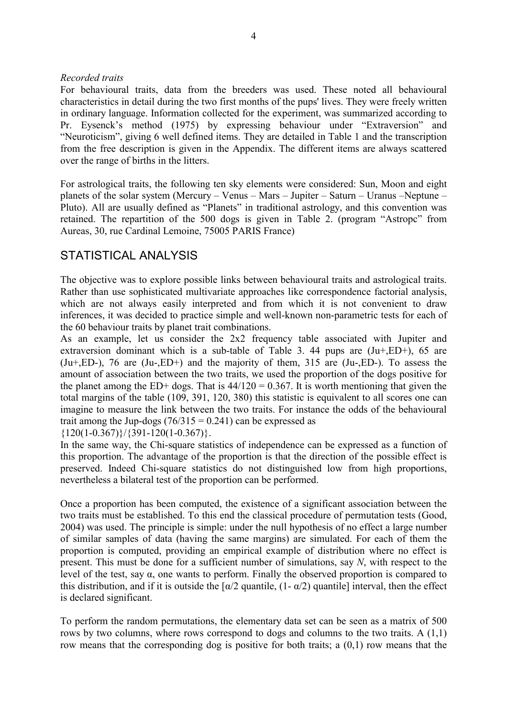## *Recorded traits*

For behavioural traits, data from the breeders was used. These noted all behavioural characteristics in detail during the two first months of the pups' lives. They were freely written in ordinary language. Information collected for the experiment, was summarized according to Pr. Eysenck's method (1975) by expressing behaviour under "Extraversion" and ìNeuroticismî, giving 6 well defined items. They are detailed in Table 1 and the transcription from the free description is given in the Appendix. The different items are always scattered over the range of births in the litters.

For astrological traits, the following ten sky elements were considered: Sun, Moon and eight planets of the solar system (Mercury – Venus – Mars – Jupiter – Saturn – Uranus – Neptune – Pluto). All are usually defined as "Planets" in traditional astrology, and this convention was retained. The repartition of the 500 dogs is given in Table 2. (program "Astropc" from Aureas, 30, rue Cardinal Lemoine, 75005 PARIS France)

## STATISTICAL ANALYSIS

The objective was to explore possible links between behavioural traits and astrological traits. Rather than use sophisticated multivariate approaches like correspondence factorial analysis, which are not always easily interpreted and from which it is not convenient to draw inferences, it was decided to practice simple and well-known non-parametric tests for each of the 60 behaviour traits by planet trait combinations.

As an example, let us consider the 2x2 frequency table associated with Jupiter and extraversion dominant which is a sub-table of Table 3. 44 pups are  $(Ju+ ED+)$ , 65 are  $(Ju+, ED-)$ , 76 are  $(Ju-, ED+)$  and the majority of them, 315 are  $(Ju-, ED-)$ . To assess the amount of association between the two traits, we used the proportion of the dogs positive for the planet among the ED+ dogs. That is  $44/120 = 0.367$ . It is worth mentioning that given the total margins of the table (109, 391, 120, 380) this statistic is equivalent to all scores one can imagine to measure the link between the two traits. For instance the odds of the behavioural trait among the Jup-dogs ( $76/315 = 0.241$ ) can be expressed as

 ${120(1-0.367)}/{391-120(1-0.367)}.$ 

In the same way, the Chi-square statistics of independence can be expressed as a function of this proportion. The advantage of the proportion is that the direction of the possible effect is preserved. Indeed Chi-square statistics do not distinguished low from high proportions, nevertheless a bilateral test of the proportion can be performed.

Once a proportion has been computed, the existence of a significant association between the two traits must be established. To this end the classical procedure of permutation tests (Good, 2004) was used. The principle is simple: under the null hypothesis of no effect a large number of similar samples of data (having the same margins) are simulated. For each of them the proportion is computed, providing an empirical example of distribution where no effect is present. This must be done for a sufficient number of simulations, say *N*, with respect to the level of the test, say α, one wants to perform. Finally the observed proportion is compared to this distribution, and if it is outside the  $\lceil \alpha/2 \rceil$  quantile,  $(1 - \alpha/2)$  quantile] interval, then the effect is declared significant.

To perform the random permutations, the elementary data set can be seen as a matrix of 500 rows by two columns, where rows correspond to dogs and columns to the two traits. A (1,1) row means that the corresponding dog is positive for both traits; a (0,1) row means that the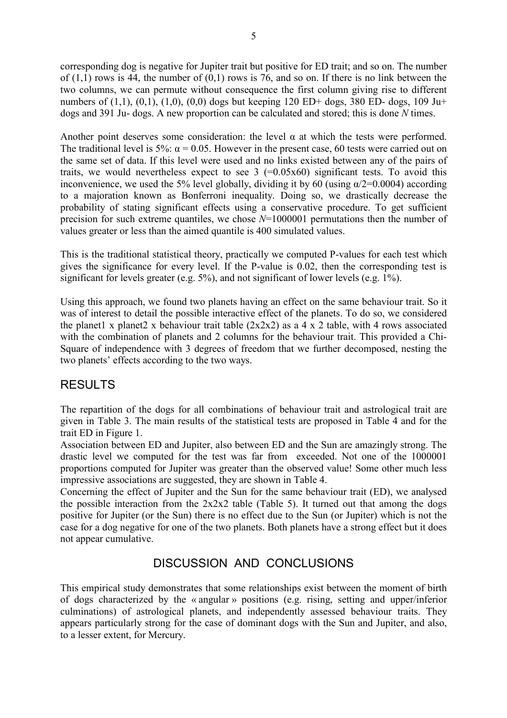corresponding dog is negative for Jupiter trait but positive for ED trait; and so on. The number of  $(1,1)$  rows is 44, the number of  $(0,1)$  rows is 76, and so on. If there is no link between the two columns, we can permute without consequence the first column giving rise to different numbers of  $(1,1)$ ,  $(0,1)$ ,  $(1,0)$ ,  $(0,0)$  dogs but keeping 120 ED+ dogs, 380 ED- dogs, 109 Ju+ dogs and 391 Ju- dogs. A new proportion can be calculated and stored; this is done *N* times.

Another point deserves some consideration: the level  $\alpha$  at which the tests were performed. The traditional level is 5%:  $\alpha$  = 0.05. However in the present case, 60 tests were carried out on the same set of data. If this level were used and no links existed between any of the pairs of traits, we would nevertheless expect to see  $3$  (=0.05x60) significant tests. To avoid this inconvenience, we used the 5% level globally, dividing it by 60 (using  $\alpha/2=0.0004$ ) according to a majoration known as Bonferroni inequality. Doing so, we drastically decrease the probability of stating significant effects using a conservative procedure. To get sufficient precision for such extreme quantiles, we chose *N*=1000001 permutations then the number of values greater or less than the aimed quantile is 400 simulated values.

This is the traditional statistical theory, practically we computed P-values for each test which gives the significance for every level. If the P-value is 0.02, then the corresponding test is significant for levels greater (e.g. 5%), and not significant of lower levels (e.g. 1%).

Using this approach, we found two planets having an effect on the same behaviour trait. So it was of interest to detail the possible interactive effect of the planets. To do so, we considered the planet1 x planet2 x behaviour trait table  $(2x2x2)$  as a 4 x 2 table, with 4 rows associated with the combination of planets and 2 columns for the behaviour trait. This provided a Chi-Square of independence with 3 degrees of freedom that we further decomposed, nesting the two planets' effects according to the two ways.

## RESULTS

The repartition of the dogs for all combinations of behaviour trait and astrological trait are given in Table 3. The main results of the statistical tests are proposed in Table 4 and for the trait ED in Figure 1.

Association between ED and Jupiter, also between ED and the Sun are amazingly strong. The drastic level we computed for the test was far from exceeded. Not one of the 1000001 proportions computed for Jupiter was greater than the observed value! Some other much less impressive associations are suggested, they are shown in Table 4.

Concerning the effect of Jupiter and the Sun for the same behaviour trait (ED), we analysed the possible interaction from the  $2x2x2$  table (Table 5). It turned out that among the dogs positive for Jupiter (or the Sun) there is no effect due to the Sun (or Jupiter) which is not the case for a dog negative for one of the two planets. Both planets have a strong effect but it does not appear cumulative.

# DISCUSSION AND CONCLUSIONS

This empirical study demonstrates that some relationships exist between the moment of birth of dogs characterized by the « angular » positions (e.g. rising, setting and upper/inferior culminations) of astrological planets, and independently assessed behaviour traits. They appears particularly strong for the case of dominant dogs with the Sun and Jupiter, and also, to a lesser extent, for Mercury.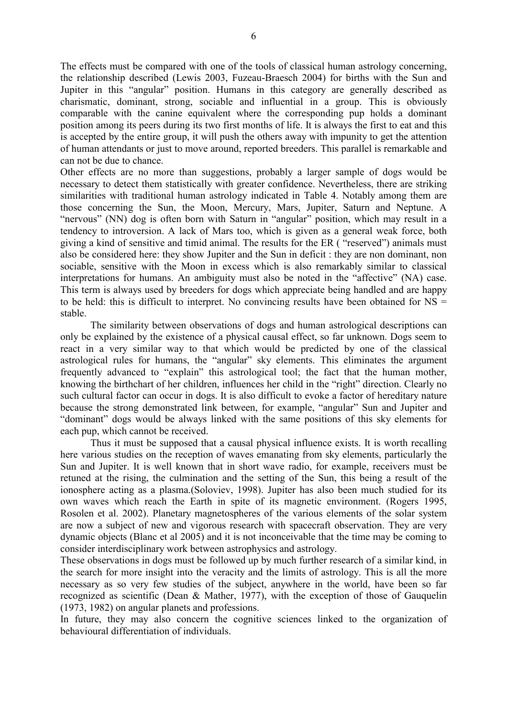The effects must be compared with one of the tools of classical human astrology concerning, the relationship described (Lewis 2003, Fuzeau-Braesch 2004) for births with the Sun and Jupiter in this "angular" position. Humans in this category are generally described as charismatic, dominant, strong, sociable and influential in a group. This is obviously comparable with the canine equivalent where the corresponding pup holds a dominant position among its peers during its two first months of life. It is always the first to eat and this is accepted by the entire group, it will push the others away with impunity to get the attention of human attendants or just to move around, reported breeders. This parallel is remarkable and can not be due to chance.

Other effects are no more than suggestions, probably a larger sample of dogs would be necessary to detect them statistically with greater confidence. Nevertheless, there are striking similarities with traditional human astrology indicated in Table 4. Notably among them are those concerning the Sun, the Moon, Mercury, Mars, Jupiter, Saturn and Neptune. A "nervous" (NN) dog is often born with Saturn in "angular" position, which may result in a tendency to introversion. A lack of Mars too, which is given as a general weak force, both giving a kind of sensitive and timid animal. The results for the ER ("reserved") animals must also be considered here: they show Jupiter and the Sun in deficit : they are non dominant, non sociable, sensitive with the Moon in excess which is also remarkably similar to classical interpretations for humans. An ambiguity must also be noted in the "affective" (NA) case. This term is always used by breeders for dogs which appreciate being handled and are happy to be held: this is difficult to interpret. No convincing results have been obtained for  $NS =$ stable.

 The similarity between observations of dogs and human astrological descriptions can only be explained by the existence of a physical causal effect, so far unknown. Dogs seem to react in a very similar way to that which would be predicted by one of the classical astrological rules for humans, the "angular" sky elements. This eliminates the argument frequently advanced to "explain" this astrological tool; the fact that the human mother, knowing the birthchart of her children, influences her child in the "right" direction. Clearly no such cultural factor can occur in dogs. It is also difficult to evoke a factor of hereditary nature because the strong demonstrated link between, for example, "angular" Sun and Jupiter and ìdominantî dogs would be always linked with the same positions of this sky elements for each pup, which cannot be received.

 Thus it must be supposed that a causal physical influence exists. It is worth recalling here various studies on the reception of waves emanating from sky elements, particularly the Sun and Jupiter. It is well known that in short wave radio, for example, receivers must be retuned at the rising, the culmination and the setting of the Sun, this being a result of the ionosphere acting as a plasma.(Soloviev, 1998). Jupiter has also been much studied for its own waves which reach the Earth in spite of its magnetic environment. (Rogers 1995, Rosolen et al. 2002). Planetary magnetospheres of the various elements of the solar system are now a subject of new and vigorous research with spacecraft observation. They are very dynamic objects (Blanc et al 2005) and it is not inconceivable that the time may be coming to consider interdisciplinary work between astrophysics and astrology.

These observations in dogs must be followed up by much further research of a similar kind, in the search for more insight into the veracity and the limits of astrology. This is all the more necessary as so very few studies of the subject, anywhere in the world, have been so far recognized as scientific (Dean & Mather, 1977), with the exception of those of Gauquelin (1973, 1982) on angular planets and professions.

In future, they may also concern the cognitive sciences linked to the organization of behavioural differentiation of individuals.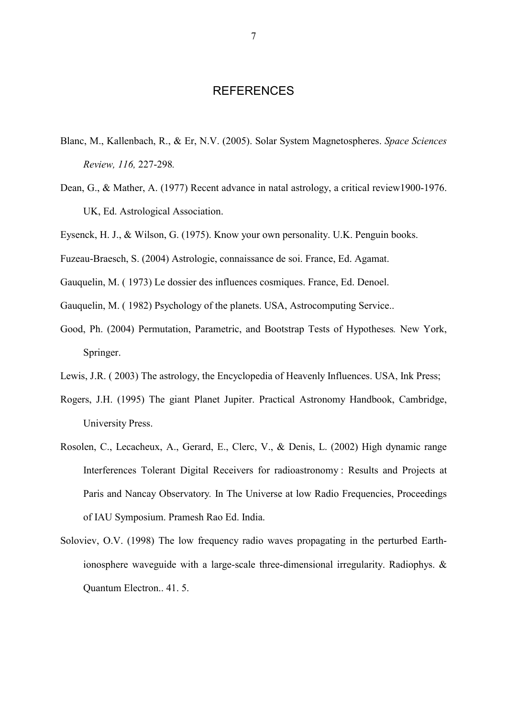## **REFERENCES**

- Blanc, M., Kallenbach, R., & Er, N.V. (2005). Solar System Magnetospheres. *Space Sciences Review, 116,* 227-298*.*
- Dean, G., & Mather, A. (1977) Recent advance in natal astrology, a critical review1900-1976. UK, Ed. Astrological Association.

Eysenck, H. J., & Wilson, G. (1975). Know your own personality. U.K. Penguin books.

Fuzeau-Braesch, S. (2004) Astrologie, connaissance de soi. France, Ed. Agamat.

Gauquelin, M. ( 1973) Le dossier des influences cosmiques. France, Ed. Denoel.

Gauquelin, M. ( 1982) Psychology of the planets. USA, Astrocomputing Service..

- Good, Ph. (2004) Permutation, Parametric, and Bootstrap Tests of Hypotheses*.* New York, Springer.
- Lewis, J.R. ( 2003) The astrology, the Encyclopedia of Heavenly Influences. USA, Ink Press;
- Rogers, J.H. (1995) The giant Planet Jupiter. Practical Astronomy Handbook, Cambridge, University Press.
- Rosolen, C., Lecacheux, A., Gerard, E., Clerc, V., & Denis, L. (2002) High dynamic range Interferences Tolerant Digital Receivers for radioastronomy : Results and Projects at Paris and Nancay Observatory*.* In The Universe at low Radio Frequencies, Proceedings of IAU Symposium. Pramesh Rao Ed. India.
- Soloviev, O.V. (1998) The low frequency radio waves propagating in the perturbed Earthionosphere waveguide with a large-scale three-dimensional irregularity. Radiophys. & Quantum Electron.. 41. 5.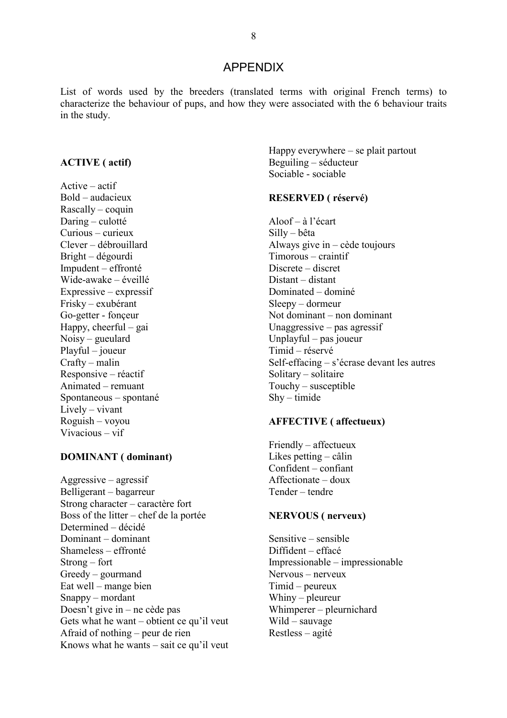## **APPENDIX**

List of words used by the breeders (translated terms with original French terms) to characterize the behaviour of pups, and how they were associated with the 6 behaviour traits in the study.

#### **ACTIVE** (actif)

 $Active - actif$  $Bold - audacieux$ Rascally – coquin Daring – culotté  $Curious-curieux$ Clever – débrouillard Bright – dégourdi Impudent – effronté Wide-awake – éveillé Expressive – expressif Frisky – exubérant Go-getter - fonceur Happy, cheerful – gai  $Noisy - *gueulard*$  $Playful - joueur$  $Craftv - malin$ Responsive – réactif Animated – remuant Spontaneous – spontané  $Lively - vivant$ Roguish - vovou  $Vivacious - vif$ 

## **DOMINANT** (dominant)

 $Aggressive - agressif$ Belligerant – bagarreur Strong character – caractère fort Boss of the litter – chef de la portée Determined - décidé Dominant – dominant Shameless – effronté  $Strong$  – fort  $Greedy$  – gourmand Eat well – mange bien Snappy – mordant Doesn't give in  $-$  ne cède pas Gets what he want – obtient ce qu'il veut Afraid of nothing – peur de rien Knows what he wants – sait ce qu'il veut Happy everywhere  $-$  se plait partout Beguiling – séducteur Sociable - sociable

## **RESERVED** (réservé)

Aloof  $-\hat{a}$  l'écart  $Silly - bêta$ Always give  $in -$  cède toujours  $Timorous - craintif$ Discrete – discret Distant - distant Dominated – dominé  $Sleevv - dormeur$ Not dominant – non dominant Unaggressive  $-$  pas agressif Unplayful – pas joueur Timid - réservé Self-effacing  $-$  s'écrase devant les autres Solitary – solitaire Touchy – susceptible  $Shy-timide$ 

#### **AFFECTIVE** (affectueux)

 $F$ riendly – affectueux Likes petting  $-$  câlin  $Confident-confiant$  $After the  $-$  doux$ Tender - tendre

#### **NERVOUS** (nerveux)

Sensitive  $-$  sensible Diffident - effacé Impressionable – impressionable Nervous – nerveux Timid – peureux Whiny  $-$  pleureur Whimperer - pleurnichard  $Wild - \text{sauvage}$ Restless – agité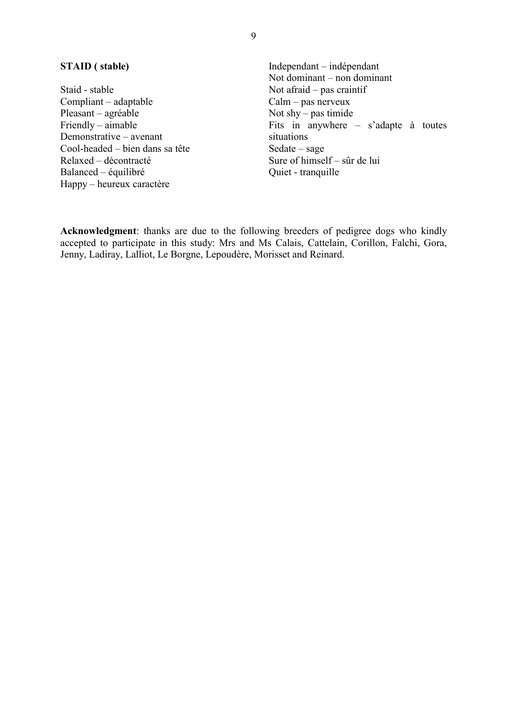## **STAID** (stable)

Staid - stable Compliant – adaptable Pleasant – agréable Friendly – aimable Demonstrative – avenant Cool-headed – bien dans sa tête Relaxed – décontracté Balanced – équilibré Happy – heureux caractère

Independant – indépendant Not dominant – non dominant Not afraid  $-$  pas craintif  $Calm - pas$  nerveux Not shy – pas timide<br>Fits in anywhere – s'adapte à toutes situations  $Sedate - sage$ Sure of himself – sûr de lui Quiet - tranquille

Acknowledgment: thanks are due to the following breeders of pedigree dogs who kindly accepted to participate in this study: Mrs and Ms Calais, Cattelain, Corillon, Falchi, Gora, Jenny, Ladiray, Lalliot, Le Borgne, Lepoudère, Morisset and Reinard.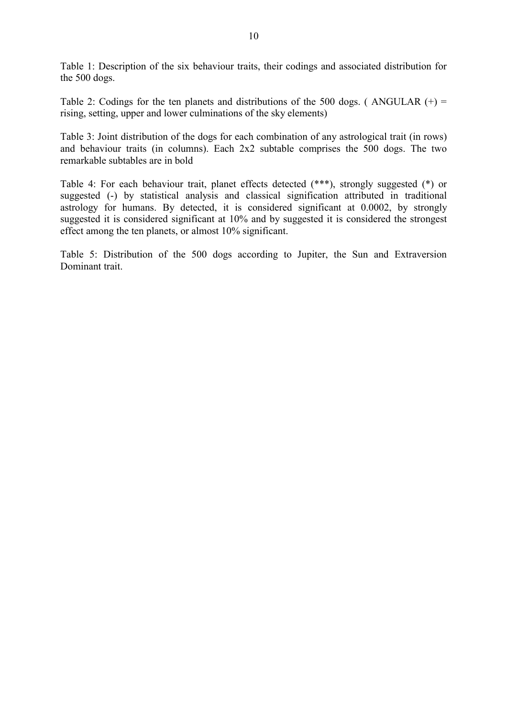Table 1: Description of the six behaviour traits, their codings and associated distribution for the 500 dogs.

Table 2: Codings for the ten planets and distributions of the 500 dogs. (ANGULAR  $(+)$  = rising, setting, upper and lower culminations of the sky elements)

Table 3: Joint distribution of the dogs for each combination of any astrological trait (in rows) and behaviour traits (in columns). Each 2x2 subtable comprises the 500 dogs. The two remarkable subtables are in bold

Table 4: For each behaviour trait, planet effects detected (\*\*\*), strongly suggested (\*) or suggested (-) by statistical analysis and classical signification attributed in traditional astrology for humans. By detected, it is considered significant at 0.0002, by strongly suggested it is considered significant at 10% and by suggested it is considered the strongest effect among the ten planets, or almost 10% significant.

Table 5: Distribution of the 500 dogs according to Jupiter, the Sun and Extraversion Dominant trait.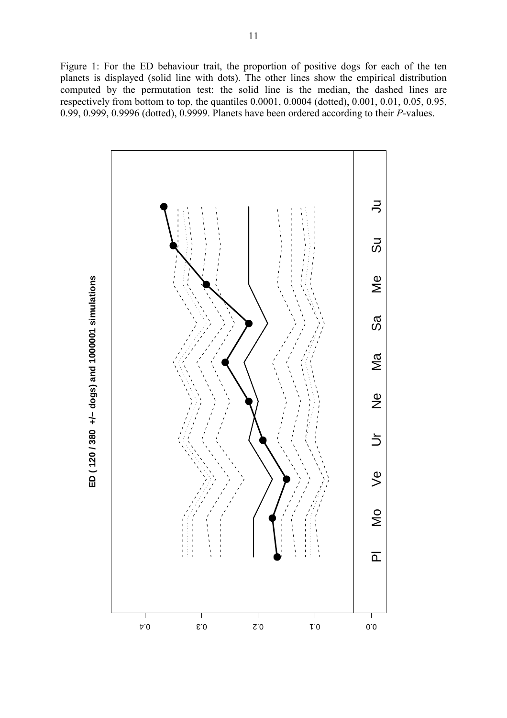Figure 1: For the ED behaviour trait, the proportion of positive dogs for each of the ten planets is displayed (solid line with dots). The other lines show the empirical distribution computed by the permutation test: the solid line is the median, the dashed lines are respectively from bottom to top, the quantiles 0.0001, 0.0004 (dotted), 0.001, 0.01, 0.05, 0.95, 0.99, 0.999, 0.9996 (dotted), 0.9999. Planets have been ordered according to their *P*-values.



ED (120/380 +/- dogs) and 1000001 simulations **ED ( 120 / 380 +/− dogs) and 1000001 simulations**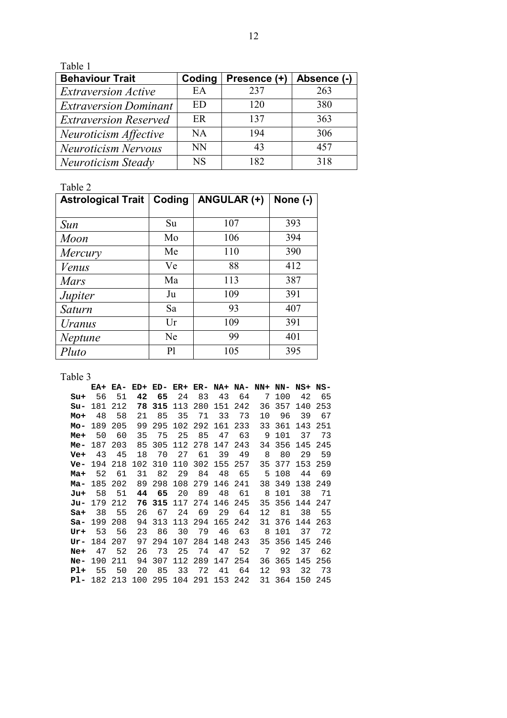Table 1

| <b>Behaviour Trait</b>       | Coding    | Presence (+) | Absence (-) |
|------------------------------|-----------|--------------|-------------|
| <i>Extraversion Active</i>   | EA        | 237          | 263         |
| <b>Extraversion Dominant</b> | ED        | 120          | 380         |
| <b>Extraversion Reserved</b> | ER        | 137          | 363         |
| Neuroticism Affective        | NA        | 194          | 306         |
| <b>Neuroticism Nervous</b>   | <b>NN</b> | 43           | 457         |
| Neuroticism Steady           | <b>NS</b> | 182          | 318         |

Table 2

| <b>Astrological Trait</b> | Coding         | ANGULAR (+) | None (-) |
|---------------------------|----------------|-------------|----------|
|                           |                |             |          |
| Sun                       | Su             | 107         | 393      |
| <b>Moon</b>               | Mo             | 106         | 394      |
| Mercury                   | Me             | 110         | 390      |
| Venus                     | Ve             | 88          | 412      |
| Mars                      | Ma             | 113         | 387      |
| Jupiter                   | Ju             | 109         | 391      |
| Saturn                    | Sa             | 93          | 407      |
| Uranus                    | Ur             | 109         | 391      |
| <b>Neptune</b>            | Ne             | 99          | 401      |
| Pluto                     | P <sub>1</sub> | 105         | 395      |

Table 3

|     | EA+ EA-        |                    |    |         |     |    |                                            |       | ED+ ED- ER+ ER- NA+ NA- NN+ NN- NS+ NS- |                |     |         |
|-----|----------------|--------------------|----|---------|-----|----|--------------------------------------------|-------|-----------------------------------------|----------------|-----|---------|
| Su+ | 56             | 51                 | 42 | 65      | 24  | 83 | 43                                         | 64    | 7                                       | 100            | 42  | 65      |
| Su- | 181            | 212                | 78 | 315     |     |    | 113 280 151 242                            |       |                                         | 36 357         | 140 | 253     |
| Mo+ | 48             | 58                 | 21 | 85      | 35  |    | 71 33 73                                   |       | 10                                      | 96             | 39  | 67      |
|     | <b>Mo-</b> 189 | 205                |    | 99 295  |     |    | 102 292 161 233                            |       |                                         | 33 361         |     | 143 251 |
| Me+ | 50             | 60                 | 35 | 75      | 25  | 85 | 47                                         | 63    |                                         | 9 101          | 37  | 73      |
|     |                | <b>Me-</b> 187 203 | 85 | 305     |     |    | 112 278 147 243                            |       |                                         | 34 356 145     |     | 245     |
| Ve+ | 43             | - 45               | 18 | 70      | 27  | 61 | 39                                         | 49    | 8                                       | 80             | 29  | 59      |
|     | $Ve- 194 218$  |                    |    | 102 310 |     |    | 110 302 155 257                            |       |                                         | 35 377 153 259 |     |         |
| Ma+ | 52             | - 61               | 31 | 82      | 29  | 84 | 48 65                                      |       |                                         | 5 108          | 44  | - 69    |
|     | <b>Ma-</b> 185 | 202                |    | 89 298  | 108 |    | 279 146 241                                |       |                                         | 38 349         | 138 | -249    |
| Ju+ | 58             | 51                 | 44 | 65      | 20  | 89 |                                            | 48 61 | 8                                       | 101            | 38  | -71     |
| Ju- | 179 212        |                    |    | 76 315  |     |    | 117 274 146 245                            |       |                                         | 35 356         | 144 | 247     |
| Sa+ | 38             | 55                 | 26 | 67      | 24  | 69 | 29                                         | 64    | 12                                      | 81             | 38  | 55      |
|     |                | $sa - 199208$      | 94 |         |     |    | 313 113 294 165 242                        |       | 31                                      | 376 144        |     | 263     |
| Ur+ | 53             | - 56               | 23 | 86      | 30  | 79 | 46                                         | 63    | 8                                       | 101            | 37  | 72      |
|     | Ur- 184 207    |                    | 97 | 294     | 107 |    | 284 148 243                                |       |                                         | 35 356 145     |     | 246     |
| Ne+ | 47             | - 52               | 26 | 73      | 25  | 74 | 47                                         | 52    | 7                                       | 92             | 37  | 62      |
|     | <b>Ne-</b> 190 | 211                | 94 |         |     |    | 307 112 289 147 254                        |       | 36                                      | 365            | 145 | 256     |
| Pl+ | 55             | 50                 | 20 | 85      | 33  | 72 | 41                                         | 64    | 12                                      | 93             | 32  | 73      |
|     |                |                    |    |         |     |    | <b>Pl-</b> 182 213 100 295 104 291 153 242 |       |                                         | 31 364 150 245 |     |         |